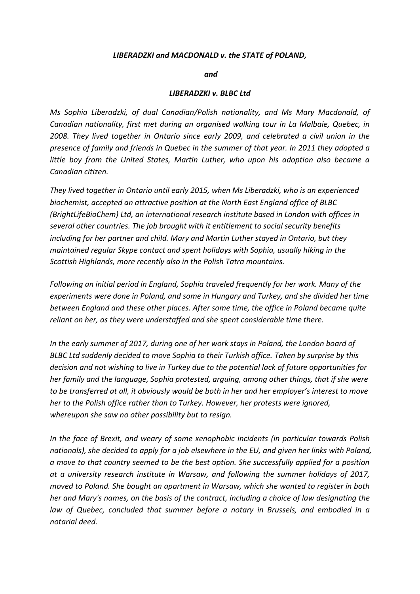## *LIBERADZKI and MACDONALD v. the STATE of POLAND,*

*and*

## *LIBERADZKI v. BLBC Ltd*

*Ms Sophia Liberadzki, of dual Canadian/Polish nationality, and Ms Mary Macdonald, of Canadian nationality, first met during an organised walking tour in La Malbaie, Quebec, in 2008. They lived together in Ontario since early 2009, and celebrated a civil union in the presence of family and friends in Quebec in the summer of that year. In 2011 they adopted a little boy from the United States, Martin Luther, who upon his adoption also became a Canadian citizen.* 

*They lived together in Ontario until early 2015, when Ms Liberadzki, who is an experienced biochemist, accepted an attractive position at the North East England office of BLBC (BrightLifeBioChem) Ltd, an international research institute based in London with offices in several other countries. The job brought with it entitlement to social security benefits including for her partner and child. Mary and Martin Luther stayed in Ontario, but they maintained regular Skype contact and spent holidays with Sophia, usually hiking in the Scottish Highlands, more recently also in the Polish Tatra mountains.* 

*Following an initial period in England, Sophia traveled frequently for her work. Many of the experiments were done in Poland, and some in Hungary and Turkey, and she divided her time between England and these other places. After some time, the office in Poland became quite reliant on her, as they were understaffed and she spent considerable time there.* 

*In the early summer of 2017, during one of her work stays in Poland, the London board of BLBC Ltd suddenly decided to move Sophia to their Turkish office. Taken by surprise by this decision and not wishing to live in Turkey due to the potential lack of future opportunities for her family and the language, Sophia protested, arguing, among other things, that if she were to be transferred at all, it obviously would be both in her and her employer's interest to move her to the Polish office rather than to Turkey. However, her protests were ignored, whereupon she saw no other possibility but to resign.* 

*In the face of Brexit, and weary of some xenophobic incidents (in particular towards Polish nationals), she decided to apply for a job elsewhere in the EU, and given her links with Poland, a move to that country seemed to be the best option. She successfully applied for a position at a university research institute in Warsaw, and following the summer holidays of 2017, moved to Poland. She bought an apartment in Warsaw, which she wanted to register in both her and Mary's names, on the basis of the contract, including a choice of law designating the law of Quebec, concluded that summer before a notary in Brussels, and embodied in a notarial deed.*